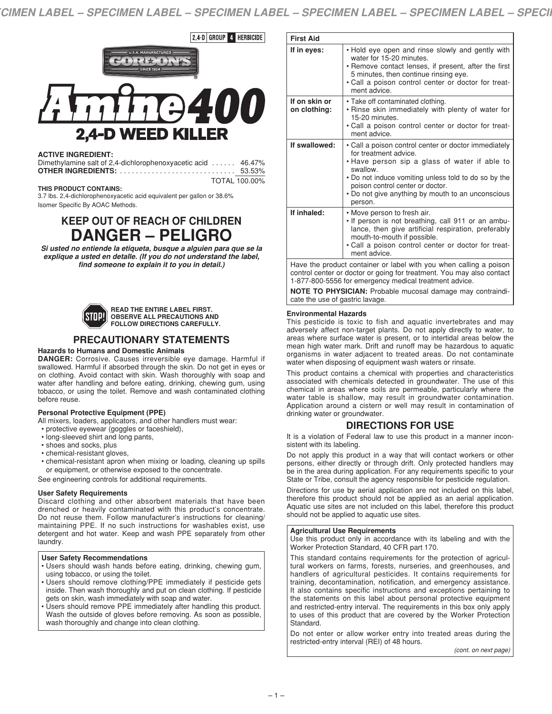$2,4$ -D GROUP 4 HERBICIDE



# **ACTIVE INGREDIENT:**

| Dimethylamine salt of 2,4-dichlorophenoxyacetic acid  46.47% |        |
|--------------------------------------------------------------|--------|
|                                                              | 53.53% |
|                                                              |        |

TOTAL 100.00%

#### **THIS PRODUCT CONTAINS:**

3.7 lbs. 2,4-dichlorophenoxyacetic acid equivalent per gallon or 38.6% Isomer Specific By AOAC Methods.

# **KEEP OUT OF REACH OF CHILDREN DANGER – PELIGRO**

*Si usted no entiende la etiqueta, busque a alguien para que se la explique a usted en detalle. (If you do not understand the label, find someone to explain it to you in detail.)*



**READ THE ENTIRE LABEL FIRST. OBSERVE ALL PRECAUTIONS AND FOLLOW DIRECTIONS CAREFULLY.**

# **PRECAUTIONARY STATEMENTS**

#### **Hazards to Humans and Domestic Animals**

**DANGER:** Corrosive. Causes irreversible eye damage. Harmful if swallowed. Harmful if absorbed through the skin. Do not get in eyes or on clothing. Avoid contact with skin. Wash thoroughly with soap and water after handling and before eating, drinking, chewing gum, using tobacco, or using the toilet. Remove and wash contaminated clothing before reuse.

# **Personal Protective Equipment (PPE)**

All mixers, loaders, applicators, and other handlers must wear:

- protective eyewear (goggles or faceshield),
- long-sleeved shirt and long pants,
- shoes and socks, plus
- chemical-resistant gloves,
- chemical-resistant apron when mixing or loading, cleaning up spills or equipment, or otherwise exposed to the concentrate.

See engineering controls for additional requirements.

#### **User Safety Requirements**

Discard clothing and other absorbent materials that have been drenched or heavily contaminated with this product's concentrate. Do not reuse them. Follow manufacturer's instructions for cleaning/ maintaining PPE. If no such instructions for washables exist, use detergent and hot water. Keep and wash PPE separately from other laundry.

#### **User Safety Recommendations**

- Users should wash hands before eating, drinking, chewing gum, using tobacco, or using the toilet.
- Users should remove clothing/PPE immediately if pesticide gets inside. Then wash thoroughly and put on clean clothing. If pesticide gets on skin, wash immediately with soap and water.
- Users should remove PPE immediately after handling this product. Wash the outside of gloves before removing. As soon as possible, wash thoroughly and change into clean clothing.

| <b>First Aid</b>                                                                                                                                   |                                                                                                                                                                                                                                                                                                        |  |
|----------------------------------------------------------------------------------------------------------------------------------------------------|--------------------------------------------------------------------------------------------------------------------------------------------------------------------------------------------------------------------------------------------------------------------------------------------------------|--|
| If in eyes:                                                                                                                                        | . Hold eye open and rinse slowly and gently with<br>water for 15-20 minutes.<br>• Remove contact lenses, if present, after the first<br>5 minutes, then continue rinsing eye.<br>· Call a poison control center or doctor for treat-<br>ment advice.                                                   |  |
| If on skin or<br>on clothing:                                                                                                                      | • Take off contaminated clothing.<br>• Rinse skin immediately with plenty of water for<br>15-20 minutes.<br>. Call a poison control center or doctor for treat-<br>ment advice.                                                                                                                        |  |
| If swallowed:                                                                                                                                      | • Call a poison control center or doctor immediately<br>for treatment advice.<br>. Have person sip a glass of water if able to<br>swallow.<br>• Do not induce vomiting unless told to do so by the<br>poison control center or doctor.<br>• Do not give anything by mouth to an unconscious<br>person. |  |
| If inhaled:                                                                                                                                        | • Move person to fresh air.<br>. If person is not breathing, call 911 or an ambu-<br>lance, then give artificial respiration, preferably<br>mouth-to-mouth if possible.<br>. Call a poison control center or doctor for treat-<br>ment advice.                                                         |  |
| Have the product container or label with you when calling a poison<br>فتحفظهم وعام يتمعون يتكلف فمحمومهم ومناوره ومتحد ومستقطع والمتحاوية والمتفار |                                                                                                                                                                                                                                                                                                        |  |

control center or doctor or going for treatment. You may also contact 1-877-800-5556 for emergency medical treatment advice.

**NOTE TO PHYSICIAN:** Probable mucosal damage may contraindicate the use of gastric lavage.

#### **Environmental Hazards**

This pesticide is toxic to fish and aquatic invertebrates and may adversely affect non-target plants. Do not apply directly to water, to areas where surface water is present, or to intertidal areas below the mean high water mark. Drift and runoff may be hazardous to aquatic organisms in water adjacent to treated areas. Do not contaminate water when disposing of equipment wash waters or rinsate.

This product contains a chemical with properties and characteristics associated with chemicals detected in groundwater. The use of this chemical in areas where soils are permeable, particularly where the water table is shallow, may result in groundwater contamination. Application around a cistern or well may result in contamination of drinking water or groundwater.

# **DIRECTIONS FOR USE**

It is a violation of Federal law to use this product in a manner inconsistent with its labeling.

Do not apply this product in a way that will contact workers or other persons, either directly or through drift. Only protected handlers may be in the area during application. For any requirements specific to your State or Tribe, consult the agency responsible for pesticide regulation.

Directions for use by aerial application are not included on this label, therefore this product should not be applied as an aerial application. Aquatic use sites are not included on this label, therefore this product should not be applied to aquatic use sites.

#### **Agricultural Use Requirements**

Use this product only in accordance with its labeling and with the Worker Protection Standard, 40 CFR part 170.

This standard contains requirements for the protection of agricultural workers on farms, forests, nurseries, and greenhouses, and handlers of agricultural pesticides. It contains requirements for training, decontamination, notification, and emergency assistance. It also contains specific instructions and exceptions pertaining to the statements on this label about personal protective equipment and restricted-entry interval. The requirements in this box only apply to uses of this product that are covered by the Worker Protection Standard.

Do not enter or allow worker entry into treated areas during the restricted-entry interval (REI) of 48 hours.

*(cont. on next page)*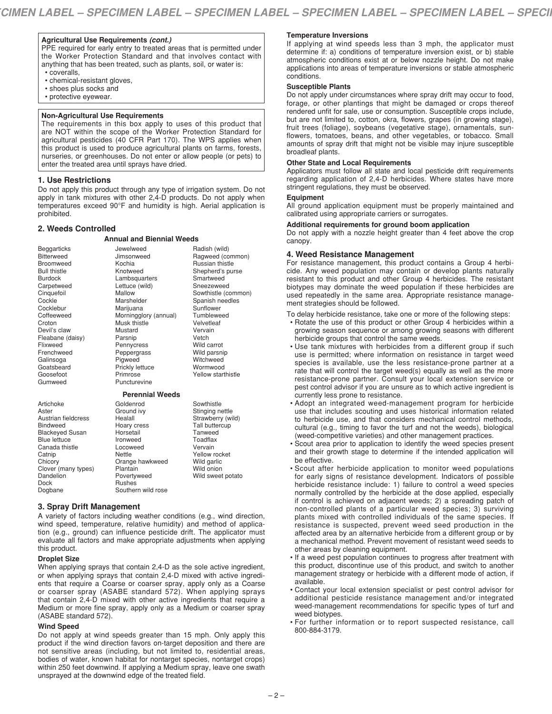# **Agricultural Use Requirements** *(cont.)*

PPE required for early entry to treated areas that is permitted under the Worker Protection Standard and that involves contact with anything that has been treated, such as plants, soil, or water is: • coveralls,

- chemical-resistant gloves,
- shoes plus socks and
- protective eyewear.

#### **Non-Agricultural Use Requirements**

The requirements in this box apply to uses of this product that are NOT within the scope of the Worker Protection Standard for agricultural pesticides (40 CFR Part 170). The WPS applies when this product is used to produce agricultural plants on farms, forests, nurseries, or greenhouses. Do not enter or allow people (or pets) to enter the treated area until sprays have dried.

#### **1. Use Restrictions**

Do not apply this product through any type of irrigation system. Do not apply in tank mixtures with other 2,4-D products. Do not apply when temperatures exceed 90°F and humidity is high. Aerial application is prohibited.

**Annual and Biennial Weeds**

Radish (wild) Ragweed (common) Russian thistle

Wild onion Wild sweet potato

Jewelweed Jimsonweed Kochia

# **2. Weeds Controlled**

Beggarticks **Bitterweed** Broomweed Bull thistle Burdock Carpetweed Cinquefoil Cockle Cocklebur **Coffeeweed Croton** Devil's claw Fleabane (daisy) Flixweed Frenchweed Galinsoga Goatsbeard Goosefoot Gumweed

Artichoke Aster

Austrian fieldcress Bindweed Blackeyed Susan Blue lettuce Canada thistle **Catnip Chicory** 

Clover (many types) Dandelion Dock Dogbane

Knotweed Lambsquarters Lettuce (wild) Mallow Marshelder Marijuana Morningglory (annual) Musk thistle Mustard Parsnip Pennycress Peppergrass Pigweed Prickly lettuce Primrose Puncturevine Shepherd's purse **Smartweed** Sneezeweed Sowthistle (common) Spanish needles Sunflower Tumbleweed Velvetleaf Vervain Vetch Wild carrot Wild parsnip **Witchweed** Wormwood Yellow starthistle **Perennial Weeds** Goldenrod Ground ivy Healall Hoary cress Horsetail Ironweed Locoweed **Nettle** Orange hawkweed Sowthistle Stinging nettle Strawberry (wild) Tall buttercup Tanweed **Toadflax** Vervain Yellow rocket Wild garlic

# **3. Spray Drift Management**

A variety of factors including weather conditions (e.g., wind direction, wind speed, temperature, relative humidity) and method of application (e.g., ground) can influence pesticide drift. The applicator must evaluate all factors and make appropriate adjustments when applying this product.

Plantain Povertyweed Rushes Southern wild rose

### **Droplet Size**

When applying sprays that contain 2,4-D as the sole active ingredient, or when applying sprays that contain 2,4-D mixed with active ingredients that require a Coarse or coarser spray, apply only as a Coarse or coarser spray (ASABE standard 572). When applying sprays that contain 2,4-D mixed with other active ingredients that require a Medium or more fine spray, apply only as a Medium or coarser spray (ASABE standard 572).

#### **Wind Speed**

Do not apply at wind speeds greater than 15 mph. Only apply this product if the wind direction favors on-target deposition and there are not sensitive areas (including, but not limited to, residential areas, bodies of water, known habitat for nontarget species, nontarget crops) within 250 feet downwind. If applying a Medium spray, leave one swath unsprayed at the downwind edge of the treated field.

# **Temperature Inversions**

If applying at wind speeds less than 3 mph, the applicator must determine if: a) conditions of temperature inversion exist, or b) stable atmospheric conditions exist at or below nozzle height. Do not make applications into areas of temperature inversions or stable atmospheric conditions.

# **Susceptible Plants**

Do not apply under circumstances where spray drift may occur to food, forage, or other plantings that might be damaged or crops thereof rendered unfit for sale, use or consumption. Susceptible crops include, but are not limited to, cotton, okra, flowers, grapes (in growing stage), fruit trees (foliage), soybeans (vegetative stage), ornamentals, sunflowers, tomatoes, beans, and other vegetables, or tobacco. Small amounts of spray drift that might not be visible may injure susceptible broadleaf plants.

# **Other State and Local Requirements**

Applicators must follow all state and local pesticide drift requirements regarding application of 2,4-D herbicides. Where states have more stringent regulations, they must be observed.

#### **Equipment**

All ground application equipment must be properly maintained and calibrated using appropriate carriers or surrogates.

#### **Additional requirements for ground boom application**

Do not apply with a nozzle height greater than 4 feet above the crop canopy.

#### **4. Weed Resistance Management**

For resistance management, this product contains a Group 4 herbicide. Any weed population may contain or develop plants naturally resistant to this product and other Group 4 herbicides. The resistant biotypes may dominate the weed population if these herbicides are used repeatedly in the same area. Appropriate resistance management strategies should be followed.

To delay herbicide resistance, take one or more of the following steps:

- Rotate the use of this product or other Group 4 herbicides within a growing season sequence or among growing seasons with different herbicide groups that control the same weeds.
- Use tank mixtures with herbicides from a different group if such use is permitted; where information on resistance in target weed species is available, use the less resistance-prone partner at a rate that will control the target weed(s) equally as well as the more resistance-prone partner. Consult your local extension service or pest control advisor if you are unsure as to which active ingredient is currently less prone to resistance.
- Adopt an integrated weed-management program for herbicide use that includes scouting and uses historical information related to herbicide use, and that considers mechanical control methods, cultural (e.g., timing to favor the turf and not the weeds), biological (weed-competitive varieties) and other management practices.
- Scout area prior to application to identify the weed species present and their growth stage to determine if the intended application will be effective.
- Scout after herbicide application to monitor weed populations for early signs of resistance development. Indicators of possible herbicide resistance include: 1) failure to control a weed species normally controlled by the herbicide at the dose applied, especially if control is achieved on adjacent weeds; 2) a spreading patch of non-controlled plants of a particular weed species; 3) surviving plants mixed with controlled individuals of the same species. If resistance is suspected, prevent weed seed production in the affected area by an alternative herbicide from a different group or by a mechanical method. Prevent movement of resistant weed seeds to other areas by cleaning equipment.
- If a weed pest population continues to progress after treatment with this product, discontinue use of this product, and switch to another management strategy or herbicide with a different mode of action, if available.
- Contact your local extension specialist or pest control advisor for additional pesticide resistance management and/or integrated weed-management recommendations for specific types of turf and weed biotypes.
- For further information or to report suspected resistance, call 800-884-3179.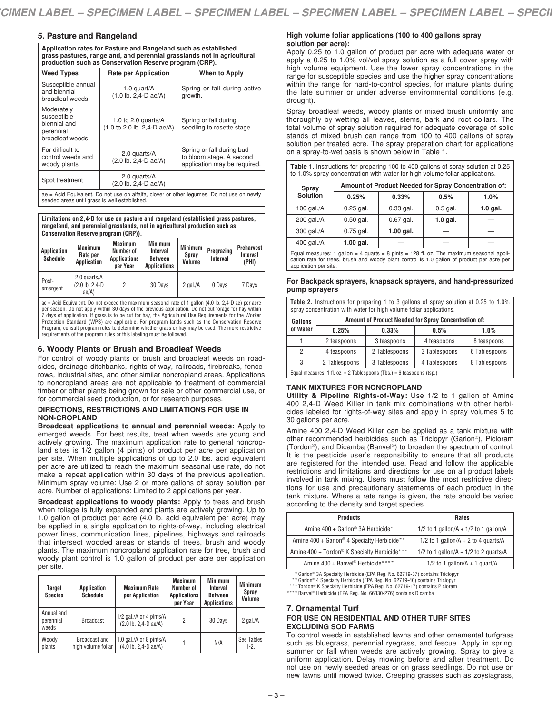# **5. Pasture and Rangeland**

**Application rates for Pasture and Rangeland such as established grass pastures, rangeland, and perennial grasslands not in agricultural production such as Conservation Reserve program (CRP).**

| <b>Weed Types</b>                                                                                                                          | <b>Rate per Application</b>                                                                  | <b>When to Apply</b>                                                                  |  |  |
|--------------------------------------------------------------------------------------------------------------------------------------------|----------------------------------------------------------------------------------------------|---------------------------------------------------------------------------------------|--|--|
| Susceptible annual<br>and biennial<br>broadleaf weeds                                                                                      | 1.0 quart/A<br>$(1.0 \text{ lb. } 2.4 \text{ -}D \text{ ae}/A)$                              | Spring or fall during active<br>growth.                                               |  |  |
| Moderately<br>susceptible<br>biennial and<br>perennial<br>broadleaf weeds                                                                  | 1.0 to 2.0 quarts/ $A$<br>$(1.0 \text{ to } 2.0 \text{ lb. } 2.4 \text{ - } D \text{ ae}/A)$ | Spring or fall during<br>seedling to rosette stage.                                   |  |  |
| For difficult to<br>control weeds and<br>woody plants                                                                                      | 2.0 quarts/A<br>(2.0 lb. 2,4-D ae/A)                                                         | Spring or fall during bud<br>to bloom stage. A second<br>application may be required. |  |  |
| Spot treatment                                                                                                                             | 2.0 quarts/A<br>$(2.0 \text{ lb. } 2.4 \text{ -}D \text{ ae}/A)$                             |                                                                                       |  |  |
| ae = Acid Equivalent. Do not use on alfalfa, clover or other legumes. Do not use on newly<br>seeded areas until grass is well established. |                                                                                              |                                                                                       |  |  |

**Limitations on 2,4-D for use on pasture and rangeland (established grass pastures,** 

**rangeland, and perennial grasslands, not in agricultural production such as Conservation Reserve program (CRP)).**

| Application<br>Schedule | Maximum<br>Rate per<br>Application                    | Maximum<br>Number of<br><b>Applications</b><br>per Year | <b>Minimum</b><br>Interval<br>Between<br><b>Applications</b> | Minimum<br>Spray<br>Volume | Pregrazing<br>Interval | Preharvest<br>Interval<br>(PHI) |
|-------------------------|-------------------------------------------------------|---------------------------------------------------------|--------------------------------------------------------------|----------------------------|------------------------|---------------------------------|
| Post-<br>emergent       | 2.0 quarts/A<br>$(2.0 \text{ lb. } 2.4 - D)$<br>ae/A) | 2                                                       | 30 Days                                                      | 2 gal. $/A$                | 0 Days                 | 7 Davs                          |

ae = Acid Equivalent. Do not exceed the maximum seasonal rate of 1 gallon (4.0 lb. 2,4-D ae) per acre per season. Do not apply within 30 days of the previous application. Do not cut forage for hay within 7 days of application. If grass is to be cut for hay, the Agricultural Use Requirements for the Worker Protection Standard (WPS) are applicable. For program lands such as the Conservation Reserve Program, consult program rules to determine whether grass or hay may be used. The more restrictive requirements of the program rules or this labeling must be followed.

# **6. Woody Plants or Brush and Broadleaf Weeds**

For control of woody plants or brush and broadleaf weeds on roadsides, drainage ditchbanks, rights-of-way, railroads, firebreaks, fencerows, industrial sites, and other similar noncropland areas. Applications to noncropland areas are not applicable to treatment of commercial timber or other plants being grown for sale or other commercial use, or for commercial seed production, or for research purposes.

#### **DIRECTIONS, RESTRICTIONS AND LIMITATIONS FOR USE IN NON-CROPLAND**

**Broadcast applications to annual and perennial weeds:** Apply to emerged weeds. For best results, treat when weeds are young and actively growing. The maximum application rate to general noncropland sites is 1/2 gallon (4 pints) of product per acre per application per site. When multiple applications of up to 2.0 lbs. acid equivalent per acre are utilized to reach the maximum seasonal use rate, do not make a repeat application within 30 days of the previous application. Minimum spray volume: Use 2 or more gallons of spray solution per acre. Number of applications: Limited to 2 applications per year.

**Broadcast applications to woody plants:** Apply to trees and brush when foliage is fully expanded and plants are actively growing. Up to 1.0 gallon of product per acre (4.0 lb. acid equivalent per acre) may be applied in a single application to rights-of-way, including electrical power lines, communication lines, pipelines, highways and railroads that intersect wooded areas or stands of trees, brush and woody plants. The maximum noncropland application rate for tree, brush and woody plant control is 1.0 gallon of product per acre per application per site.

| <b>Target</b><br><b>Species</b>  | <b>Application</b><br><b>Schedule</b>      | <b>Maximum Rate</b><br>per Application                                        | <b>Maximum</b><br>Number of<br><b>Applications</b><br>per Year | <b>Minimum</b><br>Interval<br><b>Between</b><br><b>Applications</b> | <b>Minimum</b><br><b>Spray</b><br>Volume |
|----------------------------------|--------------------------------------------|-------------------------------------------------------------------------------|----------------------------------------------------------------|---------------------------------------------------------------------|------------------------------------------|
| Annual and<br>perennial<br>weeds | <b>Broadcast</b>                           | 1/2 gal./A or 4 pints/A<br>$(2.0 \text{ lb. } 2.4 \text{ - } D \text{ ae}/A)$ | 2                                                              | 30 Days                                                             | 2 $\alpha$ al./ $\beta$                  |
| Woody<br>plants                  | <b>Broadcast and</b><br>high volume foliar | 1.0 gal./A or 8 pints/A<br>$(4.0 \text{ lb. } 2,4\text{ -}D \text{ ae}/A)$    |                                                                | N/A                                                                 | See Tables<br>$1-2$                      |

# **High volume foliar applications (100 to 400 gallons spray solution per acre):**

Apply 0.25 to 1.0 gallon of product per acre with adequate water or apply a 0.25 to 1.0% vol/vol spray solution as a full cover spray with high volume equipment. Use the lower spray concentrations in the range for susceptible species and use the higher spray concentrations within the range for hard-to-control species, for mature plants during the late summer or under adverse environmental conditions (e.g. drought).

Spray broadleaf weeds, woody plants or mixed brush uniformly and thoroughly by wetting all leaves, stems, bark and root collars. The total volume of spray solution required for adequate coverage of solid stands of mixed brush can range from 100 to 400 gallons of spray solution per treated acre. The spray preparation chart for applications on a spray-to-wet basis is shown below in Table 1.

**Table 1.** Instructions for preparing 100 to 400 gallons of spray solution at 0.25 to 1.0% spray concentration with water for high volume foliar applications.

| Spray                                                                                             | Amount of Product Needed for Spray Concentration of: |             |            |            |  |
|---------------------------------------------------------------------------------------------------|------------------------------------------------------|-------------|------------|------------|--|
| <b>Solution</b>                                                                                   | 0.25%                                                | 0.33%       | 0.5%       | 1.0%       |  |
| 100 gal./ $A$                                                                                     | $0.25$ gal.                                          | $0.33$ gal. | $0.5$ gal. | $1.0$ gal. |  |
| 200 gal./A                                                                                        | $0.50$ gal.                                          | $0.67$ gal. | $1.0$ gal. |            |  |
| 300 gal./A                                                                                        | $0.75$ gal.                                          | $1.00$ gal. |            |            |  |
| 400 gal./A                                                                                        | $1.00$ gal.                                          |             |            |            |  |
| Equal monetaries: 1, gallon $=$ 4, guarde $=$ 9 pints $=$ 198 fl. oz. The maximum seasonal appli- |                                                      |             |            |            |  |

Equal measures: 1 gallon = 4 quarts = 8 pints = 128 fl. oz. The maximum seasonal appli-cation rate for trees, brush and woody plant control is 1.0 gallon of product per acre per application per site.

# **For Backpack sprayers, knapsack sprayers, and hand-pressurized pump sprayers**

| <b>Table 2.</b> Instructions for preparing 1 to 3 gallons of spray solution at 0.25 to 1.0% |  |  |  |  |
|---------------------------------------------------------------------------------------------|--|--|--|--|
| spray concentration with water for high volume foliar applications.                         |  |  |  |  |

| Gallons                                                               | Amount of Product Needed for Spray Concentration of: |               |               |               |  |
|-----------------------------------------------------------------------|------------------------------------------------------|---------------|---------------|---------------|--|
| of Water                                                              | 0.25%                                                | 0.33%         | 0.5%          | 1.0%          |  |
|                                                                       | 2 teaspoons                                          | 3 teaspoons   | 4 teaspoons   | 8 teaspoons   |  |
| 2                                                                     | 4 teaspoons                                          | 2 Tablespoons | 3 Tablespoons | 6 Tablespoons |  |
| 3                                                                     | 2 Tablespoons                                        | 3 Tablespoons | 4 Tablespoons | 8 Tablespoons |  |
| Equal measures: 1 fl. oz. = 2 Tablespoons (Tbs.) = 6 teaspoons (tsp.) |                                                      |               |               |               |  |

# **TANK MIXTURES FOR NONCROPLAND**

**Utility & Pipeline Rights-of-Way:** Use 1/2 to 1 gallon of Amine 400 2,4-D Weed Killer in tank mix combinations with other herbicides labeled for rights-of-way sites and apply in spray volumes 5 to 30 gallons per acre.

Amine 400 2,4-D Weed Killer can be applied as a tank mixture with other recommended herbicides such as Triclopyr (Garlon®), Picloram (Tordon®), and Dicamba (Banvel®) to broaden the spectrum of control. It is the pesticide user's responsibility to ensure that all products are registered for the intended use. Read and follow the applicable restrictions and limitations and directions for use on all product labels involved in tank mixing. Users must follow the most restrictive directions for use and precautionary statements of each product in the tank mixture. Where a rate range is given, the rate should be varied according to the density and target species.

| <b>Products</b>                                          | <b>Rates</b>                                |
|----------------------------------------------------------|---------------------------------------------|
| Amine 400 + Garlon <sup>®</sup> 3A Herbicide*            | 1/2 to 1 gallon/ $A + 1/2$ to 1 gallon/ $A$ |
| Amine 400 + Garlon <sup>®</sup> 4 Specialty Herbicide**  | 1/2 to 1 gallon/ $A + 2$ to 4 quarts/ $A$   |
| Amine 400 + Tordon <sup>®</sup> K Specialty Herbicide*** | 1/2 to 1 gallon/ $A + 1/2$ to 2 guarts/ $A$ |
| Amine 400 + Banvel <sup>®</sup> Herbicide****            | $1/2$ to 1 gallon/A + 1 guart/A             |

\* Garlon® 3A Specialty Herbicide (EPA Reg. No. 62719-37) contains Triclopyr

\*\* Garlon® 4 Specialty Herbicide (EPA Reg. No. 62719-40) contains Triclopyr

\*\*\* Tordon® K Specialty Herbicide (EPA Reg. No. 62719-17) contains Picloram \*\*\*\* Banvel® Herbicide (EPA Reg. No. 66330-276) contains Dicamba

# **7. Ornamental Turf FOR USE ON RESIDENTIAL AND OTHER TURF SITES EXCLUDING SOD FARMS**

To control weeds in established lawns and other ornamental turfgrass such as bluegrass, perennial ryegrass, and fescue. Apply in spring, summer or fall when weeds are actively growing. Spray to give a uniform application. Delay mowing before and after treatment. Do not use on newly seeded areas or on grass seedlings. Do not use on new lawns until mowed twice. Creeping grasses such as zoysiagrass,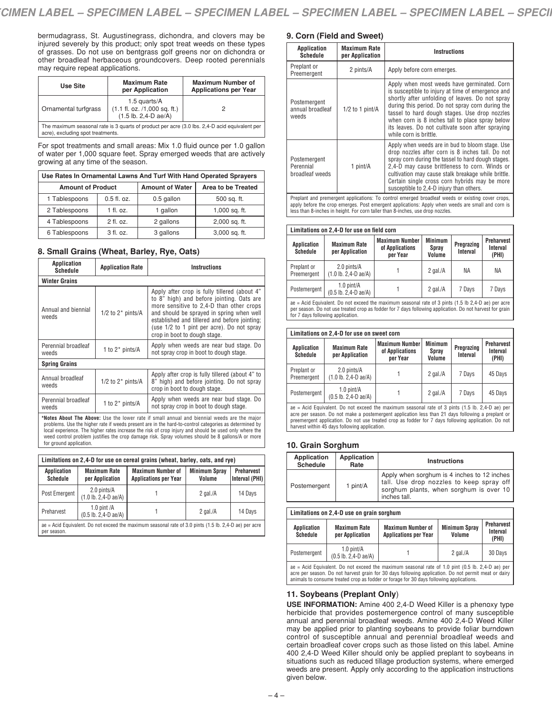bermudagrass, St. Augustinegrass, dichondra, and clovers may be injured severely by this product; only spot treat weeds on these types of grasses. Do not use on bentgrass golf greens nor on dichondra or other broadleaf herbaceous groundcovers. Deep rooted perennials may require repeat applications.

| Use Site                          | <b>Maximum Rate</b><br>per Application                                                                                 | <b>Maximum Number of</b><br><b>Applications per Year</b>                                      |
|-----------------------------------|------------------------------------------------------------------------------------------------------------------------|-----------------------------------------------------------------------------------------------|
| Ornamental turfgrass              | 1.5 quarts/A<br>$(1.1 \text{ fl. oz. } / 1,000 \text{ sq. ft.})$<br>$(1.5 \text{ lb. } 2.4 \text{ - } D \text{ ae}/A)$ |                                                                                               |
| acre), excluding spot treatments. |                                                                                                                        | The maximum seasonal rate is 3 quarts of product per acre (3.0 lbs. 2,4-D acid equivalent per |

For spot treatments and small areas: Mix 1.0 fluid ounce per 1.0 gallon of water per 1,000 square feet. Spray emerged weeds that are actively growing at any time of the season.

| Use Rates In Ornamental Lawns And Turf With Hand Operated Sprayers |               |                        |                    |  |  |
|--------------------------------------------------------------------|---------------|------------------------|--------------------|--|--|
| <b>Amount of Product</b>                                           |               | <b>Amount of Water</b> | Area to be Treated |  |  |
| 1 Tablespoons                                                      | $0.5$ fl. oz. | 0.5 gallon             | 500 sq. ft.        |  |  |
| 2 Tablespoons                                                      | $1$ fl. oz.   | 1 gallon               | 1,000 sq. ft.      |  |  |
| 4 Tablespoons                                                      | $2$ fl. oz.   | 2 gallons              | 2,000 sq. ft.      |  |  |
| 6 Tablespoons                                                      | 3 fl. oz.     | 3 gallons              | 3,000 sq. ft.      |  |  |

# **8. Small Grains (Wheat, Barley, Rye, Oats)**

| Application<br>Schedule      | <b>Application Rate</b> | <b>Instructions</b>                                                                                                                                                                                                                                                                                               |
|------------------------------|-------------------------|-------------------------------------------------------------------------------------------------------------------------------------------------------------------------------------------------------------------------------------------------------------------------------------------------------------------|
| <b>Winter Grains</b>         |                         |                                                                                                                                                                                                                                                                                                                   |
| Annual and biennial<br>weeds | 1/2 to $2^*$ pints/A    | Apply after crop is fully tillered (about 4"<br>to 8" high) and before jointing. Oats are<br>more sensitive to 2,4-D than other crops<br>and should be sprayed in spring when well<br>established and tillered and before jointing;<br>(use 1/2 to 1 pint per acre). Do not spray<br>crop in boot to dough stage. |
| Perennial broadleaf<br>weeds | 1 to $2^*$ pints/A      | Apply when weeds are near bud stage. Do<br>not spray crop in boot to dough stage.                                                                                                                                                                                                                                 |
| <b>Spring Grains</b>         |                         |                                                                                                                                                                                                                                                                                                                   |
| Annual broadleaf<br>weeds    | $1/2$ to $2^*$ pints/A  | Apply after crop is fully tillered (about 4" to<br>8" high) and before jointing. Do not spray<br>crop in boot to dough stage.                                                                                                                                                                                     |
| Perennial broadleaf<br>weeds | 1 to $2^*$ pints/A      | Apply when weeds are near bud stage. Do<br>not spray crop in boot to dough stage.                                                                                                                                                                                                                                 |

**\*Notes About The Above:** Use the lower rate if small annual and biennial weeds are the major problems. Use the higher rate if weeds present are in the hard-to-control categories as determined by local experience. The higher rates increase the risk of crop injury and should be used only where the weed control problem justifies the crop damage risk. Spray volumes should be 8 gallons/A or more for ground application.

| Limitations on 2,4-D for use on cereal grains (wheat, barley, oats, and rye)                                          |                                                                     |                                                          |                                |                                     |  |
|-----------------------------------------------------------------------------------------------------------------------|---------------------------------------------------------------------|----------------------------------------------------------|--------------------------------|-------------------------------------|--|
| Application<br><b>Schedule</b>                                                                                        | <b>Maximum Rate</b><br>per Application                              | <b>Maximum Number of</b><br><b>Applications per Year</b> | <b>Minimum Spray</b><br>Volume | <b>Preharvest</b><br>Interval (PHI) |  |
| Post Emergent                                                                                                         | 2.0 pints/A<br>$(1.0$ lb. $2,4-D$ ae/A)                             |                                                          | 2 gal. $/A$                    | 14 Davs                             |  |
| Preharvest                                                                                                            | 1.0 pint $/A$<br>$(0.5 \text{ lb. } 2.4 \text{ - } D \text{ ae}/A)$ |                                                          | 2 gal. $/A$                    | 14 Days                             |  |
| ae = Acid Equivalent. Do not exceed the maximum seasonal rate of 3.0 pints (1.5 lb. 2,4-D ae) per acre<br>per season. |                                                                     |                                                          |                                |                                     |  |

# **9. Corn (Field and Sweet)**

| Maximum Rate<br>Application<br>per Application<br>Schedule |                   | Instructions                                                                                                                                                                                                                                                                                                                                                                              |  |
|------------------------------------------------------------|-------------------|-------------------------------------------------------------------------------------------------------------------------------------------------------------------------------------------------------------------------------------------------------------------------------------------------------------------------------------------------------------------------------------------|--|
| Preplant or<br>Preemergent                                 | 2 pints/A         | Apply before corn emerges.                                                                                                                                                                                                                                                                                                                                                                |  |
| Postemergent<br>annual broadleaf<br>weeds                  | $1/2$ to 1 pint/A | Apply when most weeds have germinated. Corn<br>is susceptible to injury at time of emergence and<br>shortly after unfolding of leaves. Do not spray<br>during this period. Do not spray corn during the<br>tassel to hard dough stages. Use drop nozzles<br>when corn is 8 inches tall to place spray below<br>its leaves. Do not cultivate soon after spraying<br>while corn is brittle. |  |
| Postemergent<br>Perennial<br>broadleaf weeds               | 1 pint/A          | Apply when weeds are in bud to bloom stage. Use<br>drop nozzles after corn is 8 inches tall. Do not<br>spray corn during the tassel to hard dough stages.<br>2.4-D may cause brittleness to corn. Winds or<br>cultivation may cause stalk breakage while brittle.<br>Certain single cross corn hybrids may be more<br>susceptible to 2.4-D injury than others.                            |  |

Preplant and premergent applications: To control emerged broadleaf weeds or existing cover crops, apply before the crop emerges. Post emergent applications: Apply when weeds are small and corn is less than 8-inches in height. For corn taller than 8-inches, use drop nozzles.

#### **Limitations on 2,4-D for use on field corn**

| Application<br><b>Schedule</b> | <b>Maximum Rate</b><br>per Application                            | <b>Maximum Number</b><br>of Applications<br>per Year | <b>Minimum</b><br>Spray<br>Volume | Pregrazing<br>Interval | <b>Preharvest</b><br>Interval<br>(PHI) |
|--------------------------------|-------------------------------------------------------------------|------------------------------------------------------|-----------------------------------|------------------------|----------------------------------------|
| Preplant or<br>Preemergent     | 2.0 pints/A<br>$(1.0 \text{ lb. } 2.4 \text{ - } D \text{ ae}/A)$ |                                                      | 2 gal. $/A$                       | ΝA                     | ΝA                                     |
| Postemergent                   | $1.0$ pint/A<br>$(0.5 \text{ lb. } 2,4\text{ - }D \text{ ae}/A)$  |                                                      | 2 gal. $/A$                       | 7 Davs                 | 7 Davs                                 |

ae = Acid Equivalent. Do not exceed the maximum seasonal rate of 3 pints (1.5 lb 2,4-D ae) per acre per season. Do not use treated crop as fodder for 7 days following application. Do not harvest for grain for 7 days following application.

| Limitations on 2.4-D for use on sweet corn |                                                                   |                                                      |                                                                    |        |                                        |  |
|--------------------------------------------|-------------------------------------------------------------------|------------------------------------------------------|--------------------------------------------------------------------|--------|----------------------------------------|--|
| <b>Application</b><br>Schedule             | <b>Maximum Rate</b><br>per Application                            | <b>Maximum Number</b><br>of Applications<br>per Year | <b>Minimum</b><br>Pregrazing<br><b>Spray</b><br>Interval<br>Volume |        | <b>Preharvest</b><br>Interval<br>(PHI) |  |
| Preplant or<br>Preemergent                 | 2.0 pints/A<br>$(1.0 \text{ lb. } 2.4 \text{ - } D \text{ ae}/A)$ |                                                      | 2 gal. $/A$                                                        | 7 Days | 45 Days                                |  |
| Postemergent                               | $1.0$ pint/ $A$<br>$(0.5$ lb. 2,4-D ae/A)                         |                                                      | 2 gal. $/A$                                                        | 7 Days | 45 Days                                |  |

ae = Acid Equivalent. Do not exceed the maximum seasonal rate of 3 pints (1.5 lb. 2,4-D ae) per acre per season. Do not make a postemergent application less than 21 days following a preplant or preemergent application. Do not use treated crop as fodder for 7 days following application. Do not harvest within 45 days following application.

# **10. Grain Sorghum**

| Application<br><b>Schedule</b> | Application<br>Rate | <b>Instructions</b>                                                                                                                                |
|--------------------------------|---------------------|----------------------------------------------------------------------------------------------------------------------------------------------------|
| Postemergent                   | 1 pint/A            | Apply when sorghum is 4 inches to 12 inches<br>tall. Use drop nozzles to keep spray off<br>sorghum plants, when sorghum is over 10<br>inches tall. |

| Limitations on 2,4-D use on grain sorghum |                                        |                                                                                                                 |                  |         |  |
|-------------------------------------------|----------------------------------------|-----------------------------------------------------------------------------------------------------------------|------------------|---------|--|
| Application<br>Schedule                   | Maximum Rate<br>per Application        | <b>Preharvest</b><br><b>Minimum Spray</b><br><b>Maximum Number of</b><br><b>Applications per Year</b><br>Volume |                  |         |  |
| Postemergent                              | $1.0$ pint/A<br>$(0.5$ lb. 2,4-D ae/A) |                                                                                                                 | 2 $\alpha$ al./A | 30 Days |  |
|                                           |                                        |                                                                                                                 |                  |         |  |

ae = Acid Equivalent. Do not exceed the maximum seasonal rate of 1.0 pint (0.5 lb. 2,4-D ae) per acre per season. Do not harvest grain for 30 days following application. Do not permit meat or dairy animals to consume treated crop as fodder or forage for 30 days following applications.

# **11. Soybeans (Preplant Only**)

**USE INFORMATION:** Amine 400 2,4-D Weed Killer is a phenoxy type herbicide that provides postemergence control of many susceptible annual and perennial broadleaf weeds. Amine 400 2,4-D Weed Killer may be applied prior to planting soybeans to provide foliar burndown control of susceptible annual and perennial broadleaf weeds and certain broadleaf cover crops such as those listed on this label. Amine 400 2,4-D Weed Killer should only be applied preplant to soybeans in situations such as reduced tillage production systems, where emerged weeds are present. Apply only according to the application instructions given below.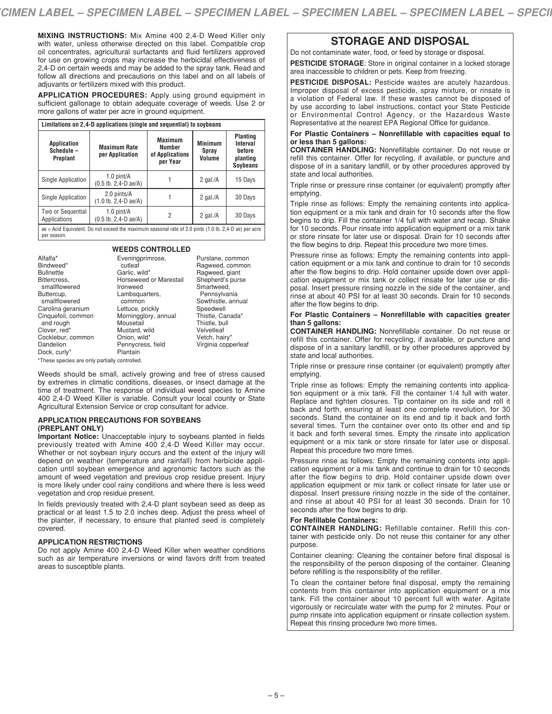**MIXING INSTRUCTIONS:** Mix Amine 400 2,4-D Weed Killer only with water, unless otherwise directed on this label. Compatible crop oil concentrates, agricultural surfactants and fluid fertilizers approved for use on growing crops may increase the herbicidal effectiveness of 2.4-D on certain weeds and may be added to the spray tank. Read and follow all directions and precautions on this label and on all labels of adjuvants or fertilizers mixed with this product.

**APPLICATION PROCEDURES:** Apply using ground equipment in sufficient gallonage to obtain adequate coverage of weeds. Use 2 or more gallons of water per acre in ground equipment.

| Limitations on 2,4-D applications (single and sequential) to soybeans                                                                                                                                                                                  |                                           |   |             |         |  |  |
|--------------------------------------------------------------------------------------------------------------------------------------------------------------------------------------------------------------------------------------------------------|-------------------------------------------|---|-------------|---------|--|--|
| <b>Planting</b><br><b>Maximum</b><br><b>Minimum</b><br>Interval<br><b>Application</b><br><b>Maximum Rate</b><br>Number<br>Schedule-<br>before<br>Spray<br>per Application<br>of Applications<br>Volume<br>Preplant<br>planting<br>per Year<br>Soybeans |                                           |   |             |         |  |  |
| Single Application                                                                                                                                                                                                                                     | $1.0$ pint/ $A$<br>$(0.5$ lb. 2,4-D ae/A) |   | 2 gal. $/A$ | 15 Days |  |  |
| Single Application                                                                                                                                                                                                                                     | 2.0 pints/A<br>$(1.0$ lb. 2,4-D ae/A)     |   | 2 gal. $/A$ | 30 Days |  |  |
| Two or Sequential<br>Applications                                                                                                                                                                                                                      | $1.0$ pint/ $A$<br>$(0.5$ lb. 2,4-D ae/A) | 2 | 2 gal. $/A$ | 30 Days |  |  |
| ae = Acid Equivalent. Do not exceed the maximum seasonal rate of 2.0 pints $(1.0 \text{ lb. } 2,4-\text{ D}$ ae) per acre<br>per season.                                                                                                               |                                           |   |             |         |  |  |

#### **WEEDS CONTROLLED**

Alfalfa\* Bindweed\* Bullnettle Bittercress, smallflowered Buttercup, smallflowered Carolina geranium Cinquefoil, common and rough Clover, red\* Cocklebur, common Dandelion Dock, curly\*

Eveningprimrose, cutleaf Garlic, wild\* Horseweed or Marestail Ironweed Lambsquarters, common Lettuce, prickly Morningglory, annual Mousetail Mustard, wild Onion, wild\* Pennycress, field Plantain

Purslane, common Ragweed, common Ragweed, giant Shepherd's purse Smartweed, Pennsylvania Sowthistle, annual Speedwell Thistle, Canada\* Thistle, bull Velvetleaf Vetch, hairy\* Virginia copperleaf

\*These species are only partially controlled.

Weeds should be small, actively growing and free of stress caused by extremes in climatic conditions, diseases, or insect damage at the time of treatment. The response of individual weed species to Amine 400 2,4-D Weed Killer is variable. Consult your local county or State Agricultural Extension Service or crop consultant for advice.

# **APPLICATION PRECAUTIONS FOR SOYBEANS (PREPLANT ONLY)**

**Important Notice:** Unacceptable injury to soybeans planted in fields previously treated with Amine 400 2,4-D Weed Killer may occur. Whether or not soybean injury occurs and the extent of the injury will depend on weather (temperature and rainfall) from herbicide application until soybean emergence and agronomic factors such as the amount of weed vegetation and previous crop residue present. Injury is more likely under cool rainy conditions and where there is less weed vegetation and crop residue present.

In fields previously treated with 2,4-D plant soybean seed as deep as practical or at least 1.5 to 2.0 inches deep. Adjust the press wheel of the planter, if necessary, to ensure that planted seed is completely covered.

# **APPLICATION RESTRICTIONS**

Do not apply Amine 400 2,4-D Weed Killer when weather conditions such as air temperature inversions or wind favors drift from treated areas to susceptible plants.

# **STORAGE AND DISPOSAL**

Do not contaminate water, food, or feed by storage or disposal.

**PESTICIDE STORAGE**: Store in original container in a locked storage area inaccessible to children or pets. Keep from freezing.

**PESTICIDE DISPOSAL:** Pesticide wastes are acutely hazardous. Improper disposal of excess pesticide, spray mixture, or rinsate is a violation of Federal law. If these wastes cannot be disposed of by use according to label instructions, contact your State Pesticide or Environmental Control Agency, or the Hazardous Waste Representative at the nearest EPA Regional Office for guidance.

**For Plastic Containers – Nonrefillable with capacities equal to or less than 5 gallons:**

**CONTAINER HANDLING:** Nonrefillable container. Do not reuse or refill this container. Offer for recycling, if available, or puncture and dispose of in a sanitary landfill, or by other procedures approved by state and local authorities.

Triple rinse or pressure rinse container (or equivalent) promptly after emptying.

Triple rinse as follows: Empty the remaining contents into application equipment or a mix tank and drain for 10 seconds after the flow begins to drip. Fill the container 1/4 full with water and recap. Shake for 10 seconds. Pour rinsate into application equipment or a mix tank or store rinsate for later use or disposal. Drain for 10 seconds after the flow begins to drip. Repeat this procedure two more times.

Pressure rinse as follows: Empty the remaining contents into application equipment or a mix tank and continue to drain for 10 seconds after the flow begins to drip. Hold container upside down over application equipment or mix tank or collect rinsate for later use or disposal. Insert pressure rinsing nozzle in the side of the container, and rinse at about 40 PSI for at least 30 seconds. Drain for 10 seconds after the flow begins to drip.

# **For Plastic Containers – Nonrefillable with capacities greater than 5 gallons:**

**CONTAINER HANDLING:** Nonrefillable container. Do not reuse or refill this container. Offer for recycling, if available, or puncture and dispose of in a sanitary landfill, or by other procedures approved by state and local authorities.

Triple rinse or pressure rinse container (or equivalent) promptly after emptying.

Triple rinse as follows: Empty the remaining contents into application equipment or a mix tank. Fill the container 1/4 full with water. Replace and tighten closures. Tip container on its side and roll it back and forth, ensuring at least one complete revolution, for 30 seconds. Stand the container on its end and tip it back and forth several times. Turn the container over onto its other end and tip it back and forth several times. Empty the rinsate into application equipment or a mix tank or store rinsate for later use or disposal. Repeat this procedure two more times.

Pressure rinse as follows: Empty the remaining contents into application equipment or a mix tank and continue to drain for 10 seconds after the flow begins to drip. Hold container upside down over application equipment or mix tank or collect rinsate for later use or disposal. Insert pressure rinsing nozzle in the side of the container, and rinse at about 40 PSI for at least 30 seconds. Drain for 10 seconds after the flow begins to drip.

# **For Refillable Containers:**

**CONTAINER HANDLING:** Refillable container. Refill this container with pesticide only. Do not reuse this container for any other purpose.

Container cleaning: Cleaning the container before final disposal is the responsibility of the person disposing of the container. Cleaning before refilling is the responsibility of the refiller.

To clean the container before final disposal, empty the remaining contents from this container into application equipment or a mix tank. Fill the container about 10 percent full with water. Agitate vigorously or recirculate water with the pump for 2 minutes. Pour or pump rinsate into application equipment or rinsate collection system. Repeat this rinsing procedure two more times.